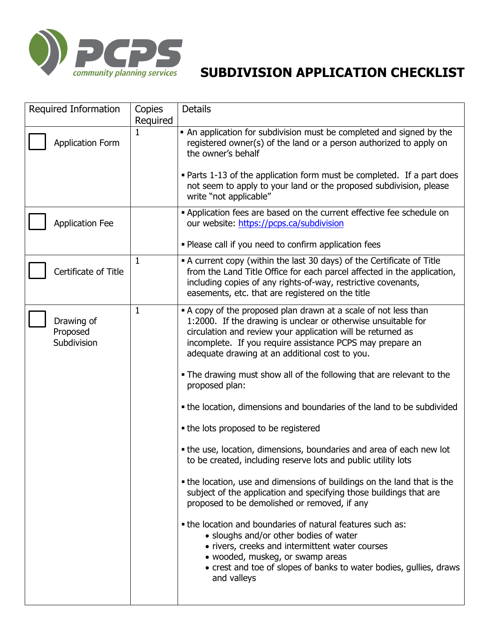

| Required Information                  | Copies       | <b>Details</b>                                                                                                                                                                                                                                                                                                                                                                                            |
|---------------------------------------|--------------|-----------------------------------------------------------------------------------------------------------------------------------------------------------------------------------------------------------------------------------------------------------------------------------------------------------------------------------------------------------------------------------------------------------|
|                                       | Required     |                                                                                                                                                                                                                                                                                                                                                                                                           |
| <b>Application Form</b>               | 1            | • An application for subdivision must be completed and signed by the<br>registered owner(s) of the land or a person authorized to apply on<br>the owner's behalf                                                                                                                                                                                                                                          |
|                                       |              | • Parts 1-13 of the application form must be completed. If a part does<br>not seem to apply to your land or the proposed subdivision, please<br>write "not applicable"                                                                                                                                                                                                                                    |
| <b>Application Fee</b>                |              | . Application fees are based on the current effective fee schedule on<br>our website: https://pcps.ca/subdivision                                                                                                                                                                                                                                                                                         |
|                                       |              | . Please call if you need to confirm application fees                                                                                                                                                                                                                                                                                                                                                     |
| Certificate of Title                  | $\mathbf{1}$ | • A current copy (within the last 30 days) of the Certificate of Title<br>from the Land Title Office for each parcel affected in the application,<br>including copies of any rights-of-way, restrictive covenants,<br>easements, etc. that are registered on the title                                                                                                                                    |
| Drawing of<br>Proposed<br>Subdivision | $\mathbf{1}$ | • A copy of the proposed plan drawn at a scale of not less than<br>1:2000. If the drawing is unclear or otherwise unsuitable for<br>circulation and review your application will be returned as<br>incomplete. If you require assistance PCPS may prepare an<br>adequate drawing at an additional cost to you.<br>. The drawing must show all of the following that are relevant to the<br>proposed plan: |
|                                       |              | • the location, dimensions and boundaries of the land to be subdivided                                                                                                                                                                                                                                                                                                                                    |
|                                       |              | • the lots proposed to be registered                                                                                                                                                                                                                                                                                                                                                                      |
|                                       |              | • the use, location, dimensions, boundaries and area of each new lot<br>to be created, including reserve lots and public utility lots                                                                                                                                                                                                                                                                     |
|                                       |              | • the location, use and dimensions of buildings on the land that is the<br>subject of the application and specifying those buildings that are<br>proposed to be demolished or removed, if any                                                                                                                                                                                                             |
|                                       |              | • the location and boundaries of natural features such as:<br>• sloughs and/or other bodies of water<br>• rivers, creeks and intermittent water courses<br>• wooded, muskeg, or swamp areas<br>• crest and toe of slopes of banks to water bodies, gullies, draws<br>and valleys                                                                                                                          |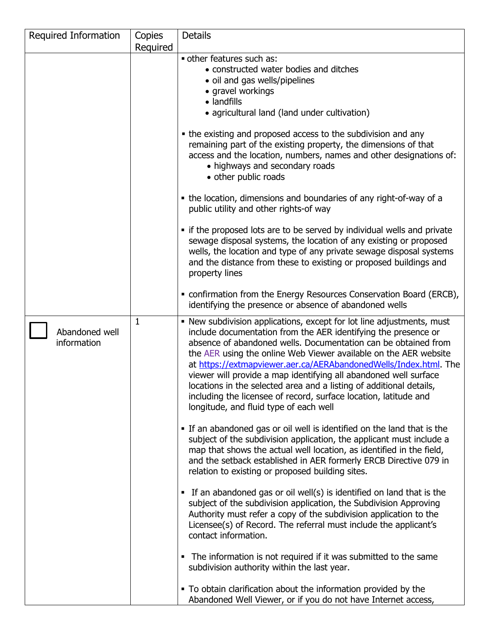| Required Information          | Copies   | <b>Details</b>                                                                                                                                                                                                                                                                                                                                                                                                                                                                                                                                                                                             |
|-------------------------------|----------|------------------------------------------------------------------------------------------------------------------------------------------------------------------------------------------------------------------------------------------------------------------------------------------------------------------------------------------------------------------------------------------------------------------------------------------------------------------------------------------------------------------------------------------------------------------------------------------------------------|
|                               | Required |                                                                                                                                                                                                                                                                                                                                                                                                                                                                                                                                                                                                            |
|                               |          | other features such as:<br>• constructed water bodies and ditches<br>• oil and gas wells/pipelines<br>• gravel workings<br>• landfills<br>• agricultural land (land under cultivation)                                                                                                                                                                                                                                                                                                                                                                                                                     |
|                               |          | • the existing and proposed access to the subdivision and any<br>remaining part of the existing property, the dimensions of that<br>access and the location, numbers, names and other designations of:<br>• highways and secondary roads<br>• other public roads                                                                                                                                                                                                                                                                                                                                           |
|                               |          | • the location, dimensions and boundaries of any right-of-way of a<br>public utility and other rights-of way                                                                                                                                                                                                                                                                                                                                                                                                                                                                                               |
|                               |          | • if the proposed lots are to be served by individual wells and private<br>sewage disposal systems, the location of any existing or proposed<br>wells, the location and type of any private sewage disposal systems<br>and the distance from these to existing or proposed buildings and<br>property lines                                                                                                                                                                                                                                                                                                 |
|                               |          | • confirmation from the Energy Resources Conservation Board (ERCB),<br>identifying the presence or absence of abandoned wells                                                                                                                                                                                                                                                                                                                                                                                                                                                                              |
| Abandoned well<br>information | 1        | . New subdivision applications, except for lot line adjustments, must<br>include documentation from the AER identifying the presence or<br>absence of abandoned wells. Documentation can be obtained from<br>the AER using the online Web Viewer available on the AER website<br>at https://extmapviewer.aer.ca/AERAbandonedWells/Index.html. The<br>viewer will provide a map identifying all abandoned well surface<br>locations in the selected area and a listing of additional details,<br>including the licensee of record, surface location, latitude and<br>longitude, and fluid type of each well |
|                               |          | . If an abandoned gas or oil well is identified on the land that is the<br>subject of the subdivision application, the applicant must include a<br>map that shows the actual well location, as identified in the field,<br>and the setback established in AER formerly ERCB Directive 079 in<br>relation to existing or proposed building sites.                                                                                                                                                                                                                                                           |
|                               |          | • If an abandoned gas or oil well(s) is identified on land that is the<br>subject of the subdivision application, the Subdivision Approving<br>Authority must refer a copy of the subdivision application to the<br>Licensee(s) of Record. The referral must include the applicant's<br>contact information.                                                                                                                                                                                                                                                                                               |
|                               |          | • The information is not required if it was submitted to the same<br>subdivision authority within the last year.                                                                                                                                                                                                                                                                                                                                                                                                                                                                                           |
|                               |          | • To obtain clarification about the information provided by the<br>Abandoned Well Viewer, or if you do not have Internet access,                                                                                                                                                                                                                                                                                                                                                                                                                                                                           |